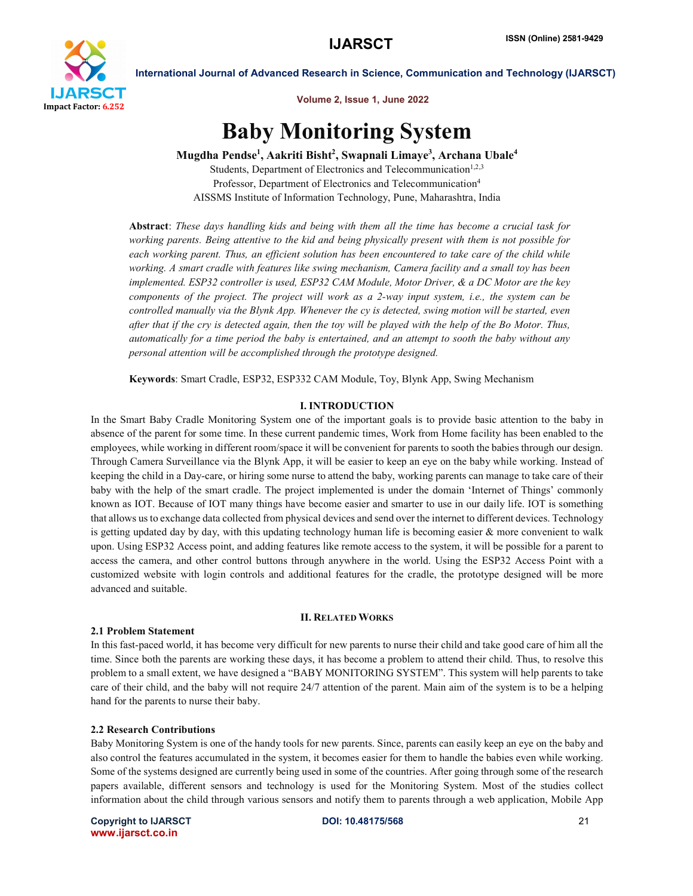

Volume 2, Issue 1, June 2022

# Baby Monitoring System

Mugdha Pendse<sup>1</sup>, Aakriti Bisht<sup>2</sup>, Swapnali Limaye<sup>3</sup>, Archana Ubale<sup>4</sup>

Students, Department of Electronics and Telecommunication<sup>1,2,3</sup> Professor, Department of Electronics and Telecommunication<sup>4</sup> AISSMS Institute of Information Technology, Pune, Maharashtra, India

Abstract: *These days handling kids and being with them all the time has become a crucial task for working parents. Being attentive to the kid and being physically present with them is not possible for*  each working parent. Thus, an efficient solution has been encountered to take care of the child while *working. A smart cradle with features like swing mechanism, Camera facility and a small toy has been implemented. ESP32 controller is used, ESP32 CAM Module, Motor Driver, & a DC Motor are the key components of the project. The project will work as a 2-way input system, i.e., the system can be controlled manually via the Blynk App. Whenever the cy is detected, swing motion will be started, even after that if the cry is detected again, then the toy will be played with the help of the Bo Motor. Thus, automatically for a time period the baby is entertained, and an attempt to sooth the baby without any personal attention will be accomplished through the prototype designed.*

Keywords: Smart Cradle, ESP32, ESP332 CAM Module, Toy, Blynk App, Swing Mechanism

# I. INTRODUCTION

In the Smart Baby Cradle Monitoring System one of the important goals is to provide basic attention to the baby in absence of the parent for some time. In these current pandemic times, Work from Home facility has been enabled to the employees, while working in different room/space it will be convenient for parents to sooth the babies through our design. Through Camera Surveillance via the Blynk App, it will be easier to keep an eye on the baby while working. Instead of keeping the child in a Day-care, or hiring some nurse to attend the baby, working parents can manage to take care of their baby with the help of the smart cradle. The project implemented is under the domain 'Internet of Things' commonly known as IOT. Because of IOT many things have become easier and smarter to use in our daily life. IOT is something that allows us to exchange data collected from physical devices and send over the internet to different devices. Technology is getting updated day by day, with this updating technology human life is becoming easier  $\&$  more convenient to walk upon. Using ESP32 Access point, and adding features like remote access to the system, it will be possible for a parent to access the camera, and other control buttons through anywhere in the world. Using the ESP32 Access Point with a customized website with login controls and additional features for the cradle, the prototype designed will be more advanced and suitable.

#### II. RELATED WORKS

# 2.1 Problem Statement

In this fast-paced world, it has become very difficult for new parents to nurse their child and take good care of him all the time. Since both the parents are working these days, it has become a problem to attend their child. Thus, to resolve this problem to a small extent, we have designed a "BABY MONITORING SYSTEM". This system will help parents to take care of their child, and the baby will not require 24/7 attention of the parent. Main aim of the system is to be a helping hand for the parents to nurse their baby.

# 2.2 Research Contributions

Baby Monitoring System is one of the handy tools for new parents. Since, parents can easily keep an eye on the baby and also control the features accumulated in the system, it becomes easier for them to handle the babies even while working. Some of the systems designed are currently being used in some of the countries. After going through some of the research papers available, different sensors and technology is used for the Monitoring System. Most of the studies collect information about the child through various sensors and notify them to parents through a web application, Mobile App

Copyright to IJARSCT **DOI: 10.48175/568** 21 www.ijarsct.co.in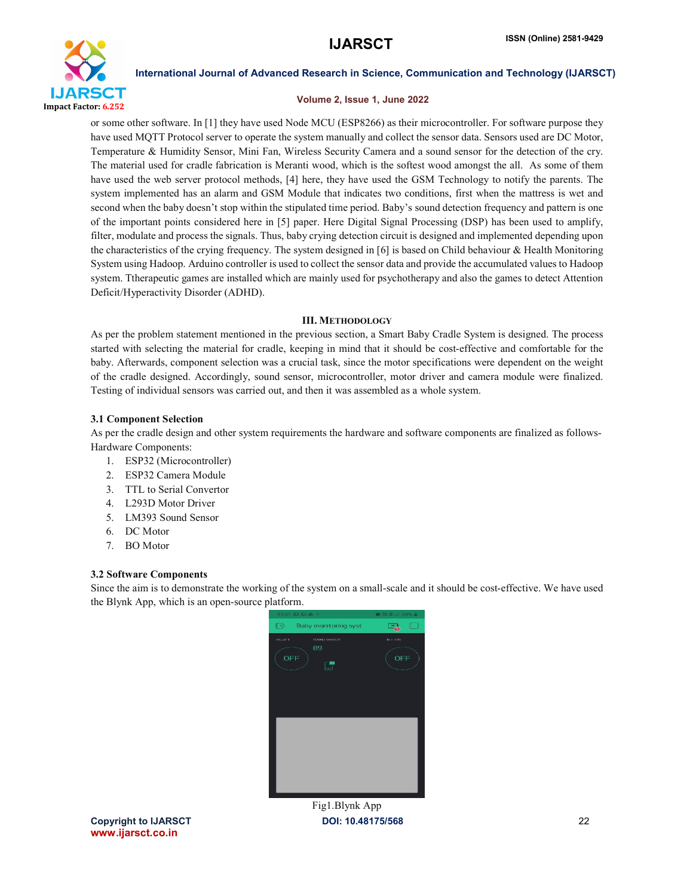

#### Volume 2, Issue 1, June 2022

or some other software. In [1] they have used Node MCU (ESP8266) as their microcontroller. For software purpose they have used MQTT Protocol server to operate the system manually and collect the sensor data. Sensors used are DC Motor, Temperature & Humidity Sensor, Mini Fan, Wireless Security Camera and a sound sensor for the detection of the cry. The material used for cradle fabrication is Meranti wood, which is the softest wood amongst the all. As some of them have used the web server protocol methods, [4] here, they have used the GSM Technology to notify the parents. The system implemented has an alarm and GSM Module that indicates two conditions, first when the mattress is wet and second when the baby doesn't stop within the stipulated time period. Baby's sound detection frequency and pattern is one of the important points considered here in [5] paper. Here Digital Signal Processing (DSP) has been used to amplify, filter, modulate and process the signals. Thus, baby crying detection circuit is designed and implemented depending upon the characteristics of the crying frequency. The system designed in [6] is based on Child behaviour & Health Monitoring System using Hadoop. Arduino controller is used to collect the sensor data and provide the accumulated values to Hadoop system. Ttherapeutic games are installed which are mainly used for psychotherapy and also the games to detect Attention Deficit/Hyperactivity Disorder (ADHD).

### III. METHODOLOGY

As per the problem statement mentioned in the previous section, a Smart Baby Cradle System is designed. The process started with selecting the material for cradle, keeping in mind that it should be cost-effective and comfortable for the baby. Afterwards, component selection was a crucial task, since the motor specifications were dependent on the weight of the cradle designed. Accordingly, sound sensor, microcontroller, motor driver and camera module were finalized. Testing of individual sensors was carried out, and then it was assembled as a whole system.

### 3.1 Component Selection

As per the cradle design and other system requirements the hardware and software components are finalized as follows-Hardware Components:

- 1. ESP32 (Microcontroller)
- 2. ESP32 Camera Module
- 3. TTL to Serial Convertor
- 4. L293D Motor Driver
- 5. LM393 Sound Sensor
- 6. DC Motor
- 7. BO Motor

#### 3.2 Software Components

Since the aim is to demonstrate the working of the system on a small-scale and it should be cost-effective. We have used the Blynk App, which is an open-source platform.



Copyright to IJARSCT DOI: 10.48175/568 22 www.ijarsct.co.in

Fig1.Blynk App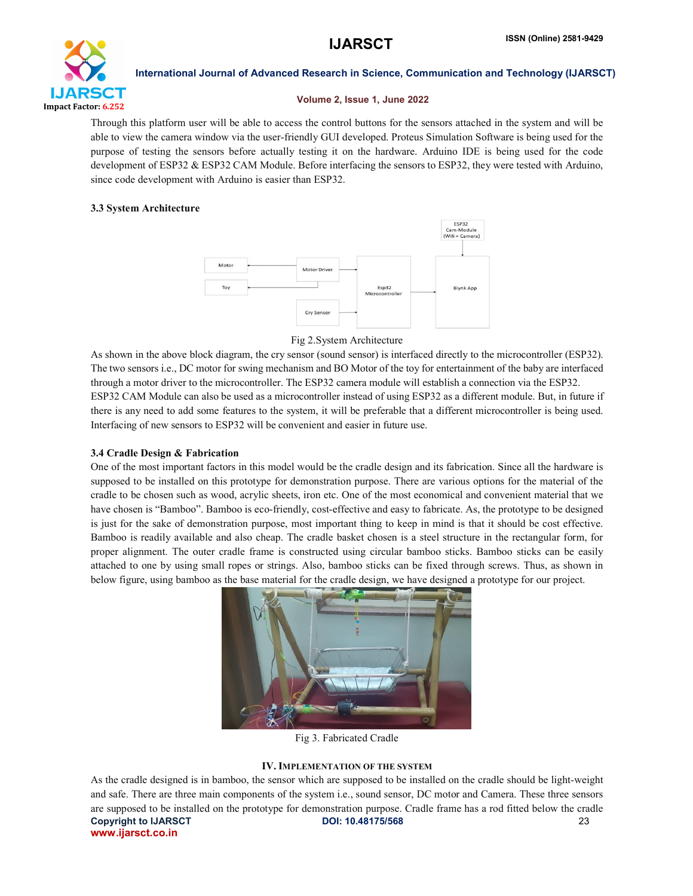

#### Volume 2, Issue 1, June 2022

Through this platform user will be able to access the control buttons for the sensors attached in the system and will be able to view the camera window via the user-friendly GUI developed. Proteus Simulation Software is being used for the purpose of testing the sensors before actually testing it on the hardware. Arduino IDE is being used for the code development of ESP32 & ESP32 CAM Module. Before interfacing the sensors to ESP32, they were tested with Arduino, since code development with Arduino is easier than ESP32.

# 3.3 System Architecture



Fig 2.System Architecture

As shown in the above block diagram, the cry sensor (sound sensor) is interfaced directly to the microcontroller (ESP32). The two sensors i.e., DC motor for swing mechanism and BO Motor of the toy for entertainment of the baby are interfaced through a motor driver to the microcontroller. The ESP32 camera module will establish a connection via the ESP32. ESP32 CAM Module can also be used as a microcontroller instead of using ESP32 as a different module. But, in future if there is any need to add some features to the system, it will be preferable that a different microcontroller is being used. Interfacing of new sensors to ESP32 will be convenient and easier in future use.

# 3.4 Cradle Design & Fabrication

One of the most important factors in this model would be the cradle design and its fabrication. Since all the hardware is supposed to be installed on this prototype for demonstration purpose. There are various options for the material of the cradle to be chosen such as wood, acrylic sheets, iron etc. One of the most economical and convenient material that we have chosen is "Bamboo". Bamboo is eco-friendly, cost-effective and easy to fabricate. As, the prototype to be designed is just for the sake of demonstration purpose, most important thing to keep in mind is that it should be cost effective. Bamboo is readily available and also cheap. The cradle basket chosen is a steel structure in the rectangular form, for proper alignment. The outer cradle frame is constructed using circular bamboo sticks. Bamboo sticks can be easily attached to one by using small ropes or strings. Also, bamboo sticks can be fixed through screws. Thus, as shown in below figure, using bamboo as the base material for the cradle design, we have designed a prototype for our project.



Fig 3. Fabricated Cradle

# IV. IMPLEMENTATION OF THE SYSTEM

Copyright to IJARSCT **DOI: 10.48175/568** 23 www.ijarsct.co.in As the cradle designed is in bamboo, the sensor which are supposed to be installed on the cradle should be light-weight and safe. There are three main components of the system i.e., sound sensor, DC motor and Camera. These three sensors are supposed to be installed on the prototype for demonstration purpose. Cradle frame has a rod fitted below the cradle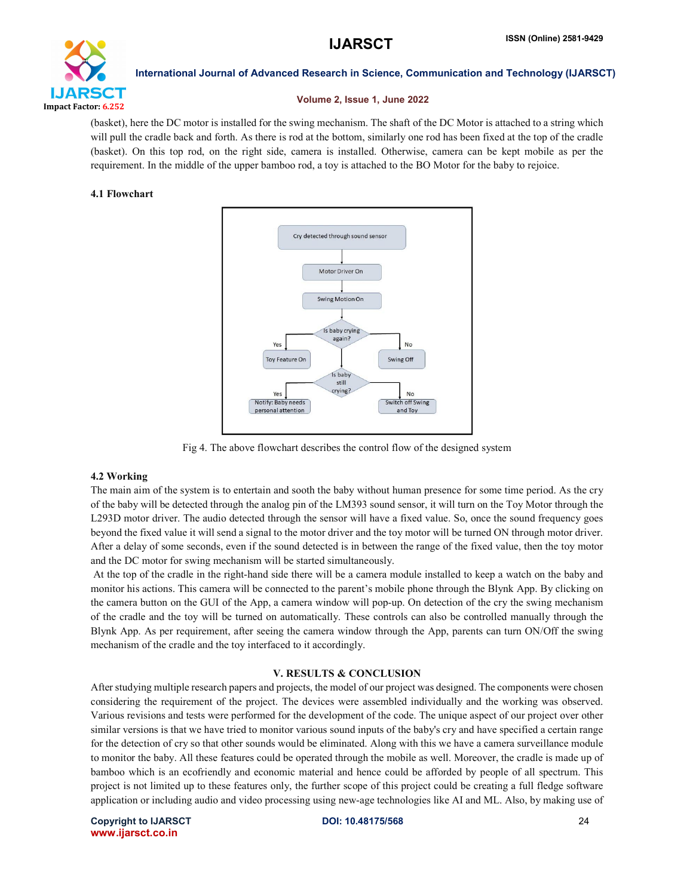

#### Volume 2, Issue 1, June 2022

(basket), here the DC motor is installed for the swing mechanism. The shaft of the DC Motor is attached to a string which will pull the cradle back and forth. As there is rod at the bottom, similarly one rod has been fixed at the top of the cradle (basket). On this top rod, on the right side, camera is installed. Otherwise, camera can be kept mobile as per the requirement. In the middle of the upper bamboo rod, a toy is attached to the BO Motor for the baby to rejoice.

#### 4.1 Flowchart



Fig 4. The above flowchart describes the control flow of the designed system

# 4.2 Working

The main aim of the system is to entertain and sooth the baby without human presence for some time period. As the cry of the baby will be detected through the analog pin of the LM393 sound sensor, it will turn on the Toy Motor through the L293D motor driver. The audio detected through the sensor will have a fixed value. So, once the sound frequency goes beyond the fixed value it will send a signal to the motor driver and the toy motor will be turned ON through motor driver. After a delay of some seconds, even if the sound detected is in between the range of the fixed value, then the toy motor and the DC motor for swing mechanism will be started simultaneously.

At the top of the cradle in the right-hand side there will be a camera module installed to keep a watch on the baby and monitor his actions. This camera will be connected to the parent's mobile phone through the Blynk App. By clicking on the camera button on the GUI of the App, a camera window will pop-up. On detection of the cry the swing mechanism of the cradle and the toy will be turned on automatically. These controls can also be controlled manually through the Blynk App. As per requirement, after seeing the camera window through the App, parents can turn ON/Off the swing mechanism of the cradle and the toy interfaced to it accordingly.

# V. RESULTS & CONCLUSION

After studying multiple research papers and projects, the model of our project was designed. The components were chosen considering the requirement of the project. The devices were assembled individually and the working was observed. Various revisions and tests were performed for the development of the code. The unique aspect of our project over other similar versions is that we have tried to monitor various sound inputs of the baby's cry and have specified a certain range for the detection of cry so that other sounds would be eliminated. Along with this we have a camera surveillance module to monitor the baby. All these features could be operated through the mobile as well. Moreover, the cradle is made up of bamboo which is an ecofriendly and economic material and hence could be afforded by people of all spectrum. This project is not limited up to these features only, the further scope of this project could be creating a full fledge software application or including audio and video processing using new-age technologies like AI and ML. Also, by making use of

Copyright to IJARSCT **DOI: 10.48175/568** 24 www.ijarsct.co.in